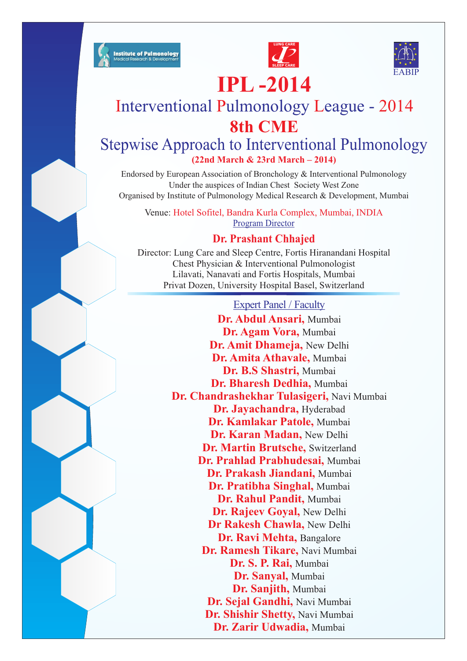





# **IPL -2014**

## Interventional Pulmonology League - 2014 **8th CME**

## Stepwise Approach to Interventional Pulmonology **(22nd March & 23rd March – 2014)**

Endorsed by European Association of Bronchology & Interventional Pulmonology Under the auspices of Indian Chest Society West Zone Organised by Institute of Pulmonology Medical Research & Development, Mumbai

Venue: Hotel Sofitel, Bandra Kurla Complex, Mumbai, INDIA Program Director

### **Dr. Prashant Chhajed**

Director: Lung Care and Sleep Centre, Fortis Hiranandani Hospital Chest Physician & Interventional Pulmonologist Lilavati, Nanavati and Fortis Hospitals, Mumbai Privat Dozen, University Hospital Basel, Switzerland

Expert Panel / Faculty **Dr. Abdul Ansari,**  Mumbai **Dr. Agam Vora,**  Mumbai **Dr. Amit Dhameja,**  New Delhi **Dr. Amita Athavale,**  Mumbai **Dr. B.S Shastri,**  Mumbai **Dr. Bharesh Dedhia,**  Mumbai **Dr. Chandrashekhar Tulasigeri,**  Navi Mumbai **Dr. Jayachandra,**  Hyderabad **Dr. Kamlakar Patole,**  Mumbai **Dr. Karan Madan,**  New Delhi **Dr. Martin Brutsche,**  Switzerland **Dr. Prahlad Prabhudesai,**  Mumbai **Dr. Prakash Jiandani,**  Mumbai **Dr. Pratibha Singhal,**  Mumbai **Dr. Rahul Pandit,**  Mumbai **Dr. Rajeev Goyal,**  New Delhi **Dr Rakesh Chawla,**  New Delhi **Dr. Ravi Mehta,**  Bangalore **Dr. Ramesh Tikare,**  Navi Mumbai **Dr. S. P. Rai,**  Mumbai **Dr. Sanyal,**  Mumbai **Dr. Sanjith,**  Mumbai **Dr. Sejal Gandhi,**  Navi Mumbai **Dr. Shishir Shetty,**  Navi Mumbai

**Dr. Zarir Udwadia,**  Mumbai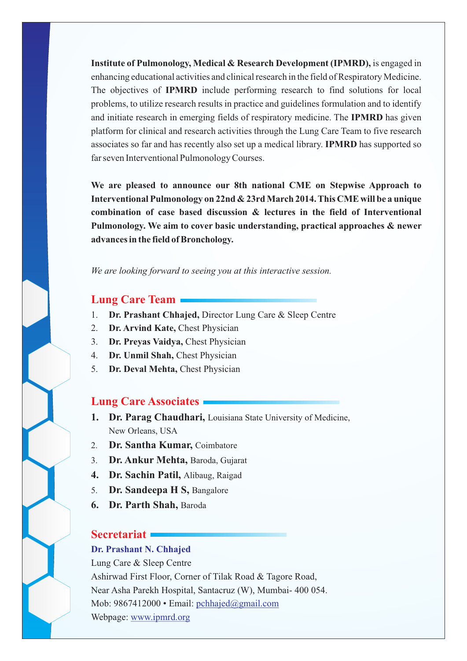**Institute of Pulmonology, Medical & Research Development (IPMRD),** is engaged in enhancing educational activities and clinical research in the field of Respiratory Medicine. The objectives of **IPMRD** include performing research to find solutions for local problems, to utilize research results in practice and guidelines formulation and to identify and initiate research in emerging fields of respiratory medicine. The **IPMRD** has given platform for clinical and research activities through the Lung Care Team to five research associates so far and has recently also set up a medical library. **IPMRD** has supported so far seven Interventional Pulmonology Courses.

**We are pleased to announce our 8th national CME on Stepwise Approach to Interventional Pulmonology on 22nd & 23rd March 2014. This CME will be a unique combination of case based discussion & lectures in the field of Interventional Pulmonology. We aim to cover basic understanding, practical approaches & newer advances in the field of Bronchology.**

*We are looking forward to seeing you at this interactive session.*

#### **Lung Care Team**

- 1. **Dr. Prashant Chhajed,** Director Lung Care & Sleep Centre
- 2. **Dr. Arvind Kate,** Chest Physician
- 3. **Dr. Preyas Vaidya,** Chest Physician
- 4. **Dr. Unmil Shah,** Chest Physician
- 5. **Dr. Deval Mehta,** Chest Physician

#### **Lung Care Associates**

- **1. Dr. Parag Chaudhari,** Louisiana State University of Medicine, New Orleans, USA
- 2. **Dr. Santha Kumar,** Coimbatore
- 3. **Dr. Ankur Mehta,** Baroda, Gujarat
- **4. Dr. Sachin Patil,** Alibaug, Raigad
- 5. **Dr. Sandeepa H S,** Bangalore
- **6. Dr. Parth Shah,** Baroda

#### **Secretariat**

#### **Dr. Prashant N. Chhajed**

Lung Care & Sleep Centre Ashirwad First Floor, Corner of Tilak Road & Tagore Road, Near Asha Parekh Hospital, Santacruz (W), Mumbai- 400 054. Mob: 9867412000 • Email: pchhajed@gmail.com Webpage: www.ipmrd.org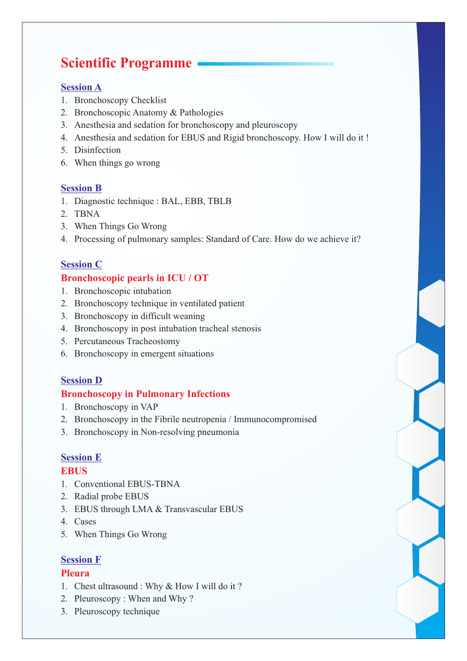## **Scientific Programme**

#### **Session A**

- 1. Bronchoscopy Checklist
- 2. Bronchoscopic Anatomy & Pathologies
- 3. Anesthesia and sedation for bronchoscopy and pleuroscopy
- 4. Anesthesia and sedation for EBUS and Rigid bronchoscopy. How I will do it !
- 5. Disinfection
- 6. When things go wrong

#### **Session B**

- 1. Diagnostic technique : BAL, EBB, TBLB
- 2. TBNA
- 3. When Things Go Wrong
- 4. Processing of pulmonary samples: Standard of Care. How do we achieve it?

#### **Session C**

#### **Bronchoscopic pearls in ICU / OT**

- 1. Bronchoscopic intubation
- 2. Bronchoscopy technique in ventilated patient
- 3. Bronchoscopy in difficult weaning
- 4. Bronchoscopy in post intubation tracheal stenosis
- 5. Percutaneous Tracheostomy
- 6. Bronchoscopy in emergent situations

#### **Session D**

#### **Bronchoscopy in Pulmonary Infections**

- 1. Bronchoscopy in VAP
- 2. Bronchoscopy in the Fibrile neutropenia / Immunocompromised
- 3. Bronchoscopy in Non-resolving pneumonia

#### **Session E**

#### **EBUS**

- 1. Conventional EBUS-TBNA
- 2. Radial probe EBUS
- 3. EBUS through LMA & Transvascular EBUS
- 4. Cases
- 5. When Things Go Wrong

#### **Session F**

#### **Pleura**

- 1. Chest ultrasound : Why & How I will do it ?
- 2. Pleuroscopy : When and Why ?
- 3. Pleuroscopy technique